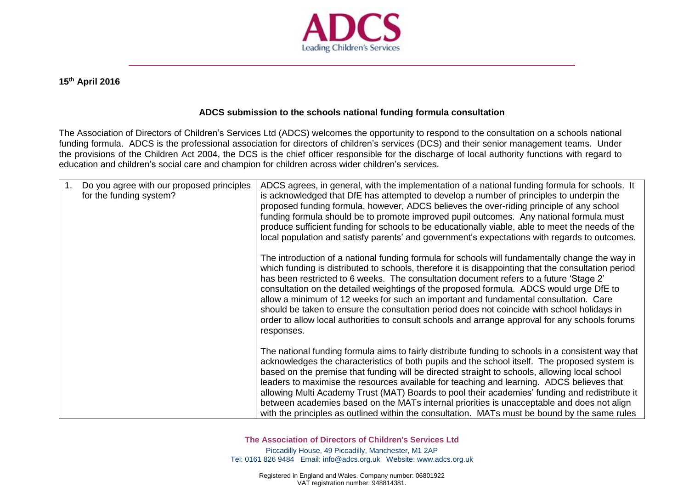

## **15th April 2016**

## **ADCS submission to the schools national funding formula consultation**

The Association of Directors of Children's Services Ltd (ADCS) welcomes the opportunity to respond to the consultation on a schools national funding formula. ADCS is the professional association for directors of children's services (DCS) and their senior management teams. Under the provisions of the Children Act 2004, the DCS is the chief officer responsible for the discharge of local authority functions with regard to education and children's social care and champion for children across wider children's services.

| 1. | Do you agree with our proposed principles<br>for the funding system? | ADCS agrees, in general, with the implementation of a national funding formula for schools. It<br>is acknowledged that DfE has attempted to develop a number of principles to underpin the<br>proposed funding formula, however, ADCS believes the over-riding principle of any school<br>funding formula should be to promote improved pupil outcomes. Any national formula must<br>produce sufficient funding for schools to be educationally viable, able to meet the needs of the<br>local population and satisfy parents' and government's expectations with regards to outcomes.                                                                                                              |
|----|----------------------------------------------------------------------|-----------------------------------------------------------------------------------------------------------------------------------------------------------------------------------------------------------------------------------------------------------------------------------------------------------------------------------------------------------------------------------------------------------------------------------------------------------------------------------------------------------------------------------------------------------------------------------------------------------------------------------------------------------------------------------------------------|
|    |                                                                      | The introduction of a national funding formula for schools will fundamentally change the way in<br>which funding is distributed to schools, therefore it is disappointing that the consultation period<br>has been restricted to 6 weeks. The consultation document refers to a future 'Stage 2'<br>consultation on the detailed weightings of the proposed formula. ADCS would urge DfE to<br>allow a minimum of 12 weeks for such an important and fundamental consultation. Care<br>should be taken to ensure the consultation period does not coincide with school holidays in<br>order to allow local authorities to consult schools and arrange approval for any schools forums<br>responses. |
|    |                                                                      | The national funding formula aims to fairly distribute funding to schools in a consistent way that<br>acknowledges the characteristics of both pupils and the school itself. The proposed system is<br>based on the premise that funding will be directed straight to schools, allowing local school<br>leaders to maximise the resources available for teaching and learning. ADCS believes that<br>allowing Multi Academy Trust (MAT) Boards to pool their academies' funding and redistribute it<br>between academies based on the MATs internal priorities is unacceptable and does not align<br>with the principles as outlined within the consultation. MATs must be bound by the same rules  |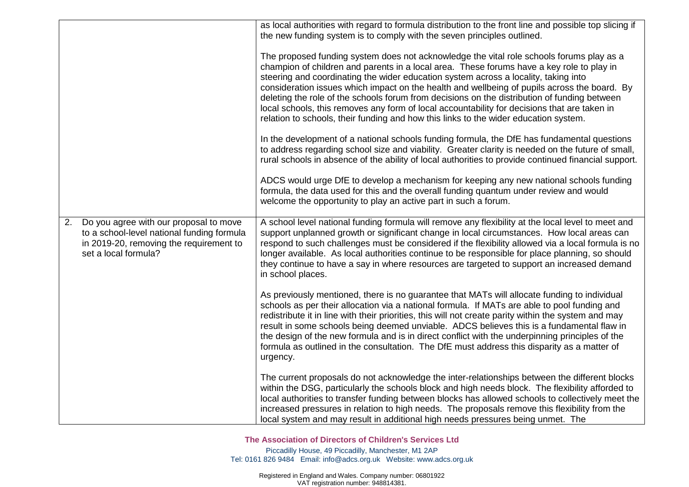|    |                                                                                                                                                         | as local authorities with regard to formula distribution to the front line and possible top slicing if<br>the new funding system is to comply with the seven principles outlined.                                                                                                                                                                                                                                                                                                                                                                                                                                                                                    |
|----|---------------------------------------------------------------------------------------------------------------------------------------------------------|----------------------------------------------------------------------------------------------------------------------------------------------------------------------------------------------------------------------------------------------------------------------------------------------------------------------------------------------------------------------------------------------------------------------------------------------------------------------------------------------------------------------------------------------------------------------------------------------------------------------------------------------------------------------|
|    |                                                                                                                                                         | The proposed funding system does not acknowledge the vital role schools forums play as a<br>champion of children and parents in a local area. These forums have a key role to play in<br>steering and coordinating the wider education system across a locality, taking into<br>consideration issues which impact on the health and wellbeing of pupils across the board. By<br>deleting the role of the schools forum from decisions on the distribution of funding between<br>local schools, this removes any form of local accountability for decisions that are taken in<br>relation to schools, their funding and how this links to the wider education system. |
|    |                                                                                                                                                         | In the development of a national schools funding formula, the DfE has fundamental questions<br>to address regarding school size and viability. Greater clarity is needed on the future of small,<br>rural schools in absence of the ability of local authorities to provide continued financial support.                                                                                                                                                                                                                                                                                                                                                             |
|    |                                                                                                                                                         | ADCS would urge DfE to develop a mechanism for keeping any new national schools funding<br>formula, the data used for this and the overall funding quantum under review and would<br>welcome the opportunity to play an active part in such a forum.                                                                                                                                                                                                                                                                                                                                                                                                                 |
| 2. | Do you agree with our proposal to move<br>to a school-level national funding formula<br>in 2019-20, removing the requirement to<br>set a local formula? | A school level national funding formula will remove any flexibility at the local level to meet and<br>support unplanned growth or significant change in local circumstances. How local areas can<br>respond to such challenges must be considered if the flexibility allowed via a local formula is no<br>longer available. As local authorities continue to be responsible for place planning, so should<br>they continue to have a say in where resources are targeted to support an increased demand<br>in school places.                                                                                                                                         |
|    |                                                                                                                                                         | As previously mentioned, there is no guarantee that MATs will allocate funding to individual<br>schools as per their allocation via a national formula. If MATs are able to pool funding and<br>redistribute it in line with their priorities, this will not create parity within the system and may<br>result in some schools being deemed unviable. ADCS believes this is a fundamental flaw in<br>the design of the new formula and is in direct conflict with the underpinning principles of the<br>formula as outlined in the consultation. The DfE must address this disparity as a matter of<br>urgency.                                                      |
|    |                                                                                                                                                         | The current proposals do not acknowledge the inter-relationships between the different blocks<br>within the DSG, particularly the schools block and high needs block. The flexibility afforded to<br>local authorities to transfer funding between blocks has allowed schools to collectively meet the<br>increased pressures in relation to high needs. The proposals remove this flexibility from the<br>local system and may result in additional high needs pressures being unmet. The                                                                                                                                                                           |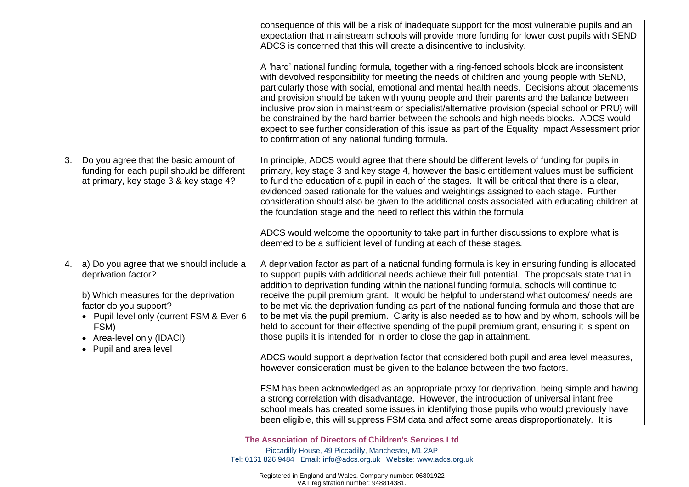|    |                                                                                                                                                                                                                                               | consequence of this will be a risk of inadequate support for the most vulnerable pupils and an<br>expectation that mainstream schools will provide more funding for lower cost pupils with SEND.<br>ADCS is concerned that this will create a disincentive to inclusivity.<br>A 'hard' national funding formula, together with a ring-fenced schools block are inconsistent<br>with devolved responsibility for meeting the needs of children and young people with SEND,<br>particularly those with social, emotional and mental health needs. Decisions about placements<br>and provision should be taken with young people and their parents and the balance between<br>inclusive provision in mainstream or specialist/alternative provision (special school or PRU) will<br>be constrained by the hard barrier between the schools and high needs blocks. ADCS would<br>expect to see further consideration of this issue as part of the Equality Impact Assessment prior<br>to confirmation of any national funding formula.                                                                                                                                                                                                                                                                                                                                  |
|----|-----------------------------------------------------------------------------------------------------------------------------------------------------------------------------------------------------------------------------------------------|---------------------------------------------------------------------------------------------------------------------------------------------------------------------------------------------------------------------------------------------------------------------------------------------------------------------------------------------------------------------------------------------------------------------------------------------------------------------------------------------------------------------------------------------------------------------------------------------------------------------------------------------------------------------------------------------------------------------------------------------------------------------------------------------------------------------------------------------------------------------------------------------------------------------------------------------------------------------------------------------------------------------------------------------------------------------------------------------------------------------------------------------------------------------------------------------------------------------------------------------------------------------------------------------------------------------------------------------------------------------|
| 3. | Do you agree that the basic amount of<br>funding for each pupil should be different<br>at primary, key stage 3 & key stage 4?                                                                                                                 | In principle, ADCS would agree that there should be different levels of funding for pupils in<br>primary, key stage 3 and key stage 4, however the basic entitlement values must be sufficient<br>to fund the education of a pupil in each of the stages. It will be critical that there is a clear,<br>evidenced based rationale for the values and weightings assigned to each stage. Further<br>consideration should also be given to the additional costs associated with educating children at<br>the foundation stage and the need to reflect this within the formula.<br>ADCS would welcome the opportunity to take part in further discussions to explore what is<br>deemed to be a sufficient level of funding at each of these stages.                                                                                                                                                                                                                                                                                                                                                                                                                                                                                                                                                                                                                    |
| 4. | a) Do you agree that we should include a<br>deprivation factor?<br>b) Which measures for the deprivation<br>factor do you support?<br>• Pupil-level only (current FSM & Ever 6<br>FSM)<br>• Area-level only (IDACI)<br>• Pupil and area level | A deprivation factor as part of a national funding formula is key in ensuring funding is allocated<br>to support pupils with additional needs achieve their full potential. The proposals state that in<br>addition to deprivation funding within the national funding formula, schools will continue to<br>receive the pupil premium grant. It would be helpful to understand what outcomes/ needs are<br>to be met via the deprivation funding as part of the national funding formula and those that are<br>to be met via the pupil premium. Clarity is also needed as to how and by whom, schools will be<br>held to account for their effective spending of the pupil premium grant, ensuring it is spent on<br>those pupils it is intended for in order to close the gap in attainment.<br>ADCS would support a deprivation factor that considered both pupil and area level measures,<br>however consideration must be given to the balance between the two factors.<br>FSM has been acknowledged as an appropriate proxy for deprivation, being simple and having<br>a strong correlation with disadvantage. However, the introduction of universal infant free<br>school meals has created some issues in identifying those pupils who would previously have<br>been eligible, this will suppress FSM data and affect some areas disproportionately. It is |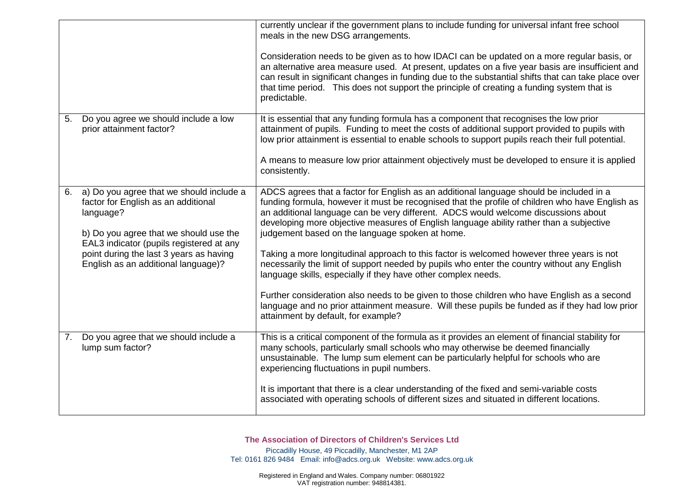|    |                                                                                                                                        | currently unclear if the government plans to include funding for universal infant free school<br>meals in the new DSG arrangements.                                                                                                                                                                                                                                                                                            |
|----|----------------------------------------------------------------------------------------------------------------------------------------|--------------------------------------------------------------------------------------------------------------------------------------------------------------------------------------------------------------------------------------------------------------------------------------------------------------------------------------------------------------------------------------------------------------------------------|
|    |                                                                                                                                        | Consideration needs to be given as to how IDACI can be updated on a more regular basis, or<br>an alternative area measure used. At present, updates on a five year basis are insufficient and<br>can result in significant changes in funding due to the substantial shifts that can take place over<br>that time period. This does not support the principle of creating a funding system that is<br>predictable.             |
| 5. | Do you agree we should include a low<br>prior attainment factor?                                                                       | It is essential that any funding formula has a component that recognises the low prior<br>attainment of pupils. Funding to meet the costs of additional support provided to pupils with<br>low prior attainment is essential to enable schools to support pupils reach their full potential.                                                                                                                                   |
|    |                                                                                                                                        | A means to measure low prior attainment objectively must be developed to ensure it is applied<br>consistently.                                                                                                                                                                                                                                                                                                                 |
| 6. | a) Do you agree that we should include a<br>factor for English as an additional<br>language?<br>b) Do you agree that we should use the | ADCS agrees that a factor for English as an additional language should be included in a<br>funding formula, however it must be recognised that the profile of children who have English as<br>an additional language can be very different. ADCS would welcome discussions about<br>developing more objective measures of English language ability rather than a subjective<br>judgement based on the language spoken at home. |
|    | EAL3 indicator (pupils registered at any<br>point during the last 3 years as having<br>English as an additional language)?             | Taking a more longitudinal approach to this factor is welcomed however three years is not<br>necessarily the limit of support needed by pupils who enter the country without any English<br>language skills, especially if they have other complex needs.                                                                                                                                                                      |
|    |                                                                                                                                        | Further consideration also needs to be given to those children who have English as a second<br>language and no prior attainment measure. Will these pupils be funded as if they had low prior<br>attainment by default, for example?                                                                                                                                                                                           |
| 7. | Do you agree that we should include a<br>lump sum factor?                                                                              | This is a critical component of the formula as it provides an element of financial stability for<br>many schools, particularly small schools who may otherwise be deemed financially<br>unsustainable. The lump sum element can be particularly helpful for schools who are<br>experiencing fluctuations in pupil numbers.                                                                                                     |
|    |                                                                                                                                        | It is important that there is a clear understanding of the fixed and semi-variable costs<br>associated with operating schools of different sizes and situated in different locations.                                                                                                                                                                                                                                          |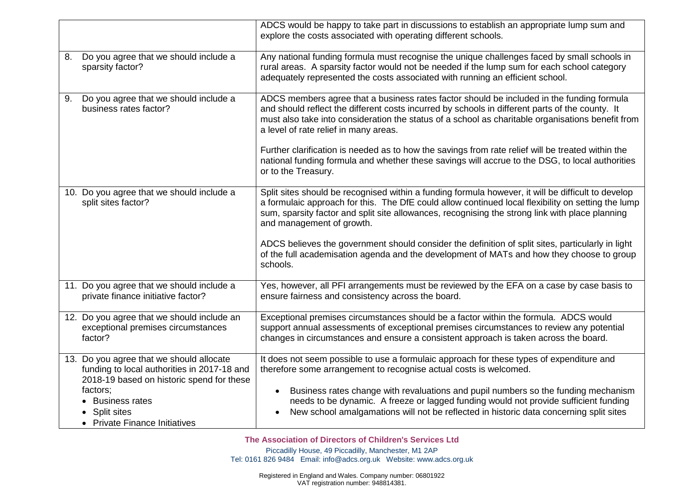|    |                                                                                                                                      | ADCS would be happy to take part in discussions to establish an appropriate lump sum and<br>explore the costs associated with operating different schools.                                                                                                                                                                                 |
|----|--------------------------------------------------------------------------------------------------------------------------------------|--------------------------------------------------------------------------------------------------------------------------------------------------------------------------------------------------------------------------------------------------------------------------------------------------------------------------------------------|
| 8. | Do you agree that we should include a<br>sparsity factor?                                                                            | Any national funding formula must recognise the unique challenges faced by small schools in<br>rural areas. A sparsity factor would not be needed if the lump sum for each school category<br>adequately represented the costs associated with running an efficient school.                                                                |
| 9. | Do you agree that we should include a<br>business rates factor?                                                                      | ADCS members agree that a business rates factor should be included in the funding formula<br>and should reflect the different costs incurred by schools in different parts of the county. It<br>must also take into consideration the status of a school as charitable organisations benefit from<br>a level of rate relief in many areas. |
|    |                                                                                                                                      | Further clarification is needed as to how the savings from rate relief will be treated within the<br>national funding formula and whether these savings will accrue to the DSG, to local authorities<br>or to the Treasury.                                                                                                                |
|    | 10. Do you agree that we should include a<br>split sites factor?                                                                     | Split sites should be recognised within a funding formula however, it will be difficult to develop<br>a formulaic approach for this. The DfE could allow continued local flexibility on setting the lump<br>sum, sparsity factor and split site allowances, recognising the strong link with place planning<br>and management of growth.   |
|    |                                                                                                                                      | ADCS believes the government should consider the definition of split sites, particularly in light<br>of the full academisation agenda and the development of MATs and how they choose to group<br>schools.                                                                                                                                 |
|    | 11. Do you agree that we should include a<br>private finance initiative factor?                                                      | Yes, however, all PFI arrangements must be reviewed by the EFA on a case by case basis to<br>ensure fairness and consistency across the board.                                                                                                                                                                                             |
|    | 12. Do you agree that we should include an<br>exceptional premises circumstances<br>factor?                                          | Exceptional premises circumstances should be a factor within the formula. ADCS would<br>support annual assessments of exceptional premises circumstances to review any potential<br>changes in circumstances and ensure a consistent approach is taken across the board.                                                                   |
|    | 13. Do you agree that we should allocate<br>funding to local authorities in 2017-18 and<br>2018-19 based on historic spend for these | It does not seem possible to use a formulaic approach for these types of expenditure and<br>therefore some arrangement to recognise actual costs is welcomed.                                                                                                                                                                              |
|    | factors;<br>• Business rates<br>• Split sites<br>• Private Finance Initiatives                                                       | Business rates change with revaluations and pupil numbers so the funding mechanism<br>needs to be dynamic. A freeze or lagged funding would not provide sufficient funding<br>New school amalgamations will not be reflected in historic data concerning split sites                                                                       |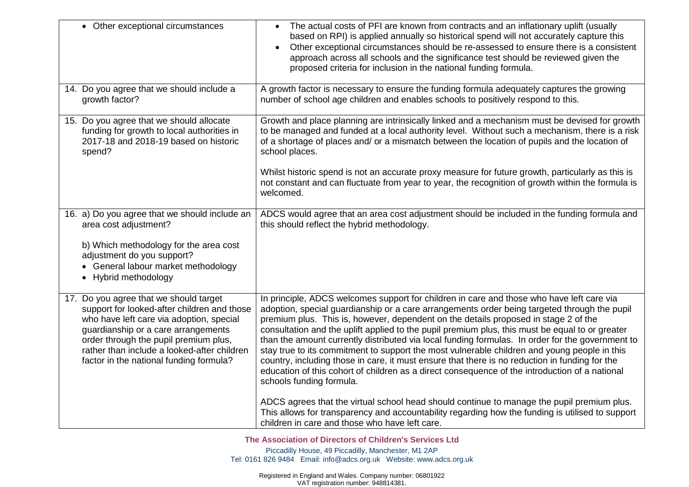| • Other exceptional circumstances                                                                                                                                                                                                                                                                           | The actual costs of PFI are known from contracts and an inflationary uplift (usually<br>based on RPI) is applied annually so historical spend will not accurately capture this<br>Other exceptional circumstances should be re-assessed to ensure there is a consistent<br>approach across all schools and the significance test should be reviewed given the<br>proposed criteria for inclusion in the national funding formula.                                                                                                                                                                                                                                                                                                                                                                                       |
|-------------------------------------------------------------------------------------------------------------------------------------------------------------------------------------------------------------------------------------------------------------------------------------------------------------|-------------------------------------------------------------------------------------------------------------------------------------------------------------------------------------------------------------------------------------------------------------------------------------------------------------------------------------------------------------------------------------------------------------------------------------------------------------------------------------------------------------------------------------------------------------------------------------------------------------------------------------------------------------------------------------------------------------------------------------------------------------------------------------------------------------------------|
| 14. Do you agree that we should include a<br>growth factor?                                                                                                                                                                                                                                                 | A growth factor is necessary to ensure the funding formula adequately captures the growing<br>number of school age children and enables schools to positively respond to this.                                                                                                                                                                                                                                                                                                                                                                                                                                                                                                                                                                                                                                          |
| 15. Do you agree that we should allocate<br>funding for growth to local authorities in<br>2017-18 and 2018-19 based on historic<br>spend?                                                                                                                                                                   | Growth and place planning are intrinsically linked and a mechanism must be devised for growth<br>to be managed and funded at a local authority level. Without such a mechanism, there is a risk<br>of a shortage of places and/ or a mismatch between the location of pupils and the location of<br>school places.                                                                                                                                                                                                                                                                                                                                                                                                                                                                                                      |
|                                                                                                                                                                                                                                                                                                             | Whilst historic spend is not an accurate proxy measure for future growth, particularly as this is<br>not constant and can fluctuate from year to year, the recognition of growth within the formula is<br>welcomed.                                                                                                                                                                                                                                                                                                                                                                                                                                                                                                                                                                                                     |
| 16. a) Do you agree that we should include an<br>area cost adjustment?                                                                                                                                                                                                                                      | ADCS would agree that an area cost adjustment should be included in the funding formula and<br>this should reflect the hybrid methodology.                                                                                                                                                                                                                                                                                                                                                                                                                                                                                                                                                                                                                                                                              |
| b) Which methodology for the area cost<br>adjustment do you support?<br>• General labour market methodology<br>• Hybrid methodology                                                                                                                                                                         |                                                                                                                                                                                                                                                                                                                                                                                                                                                                                                                                                                                                                                                                                                                                                                                                                         |
| 17. Do you agree that we should target<br>support for looked-after children and those<br>who have left care via adoption, special<br>guardianship or a care arrangements<br>order through the pupil premium plus,<br>rather than include a looked-after children<br>factor in the national funding formula? | In principle, ADCS welcomes support for children in care and those who have left care via<br>adoption, special guardianship or a care arrangements order being targeted through the pupil<br>premium plus. This is, however, dependent on the details proposed in stage 2 of the<br>consultation and the uplift applied to the pupil premium plus, this must be equal to or greater<br>than the amount currently distributed via local funding formulas. In order for the government to<br>stay true to its commitment to support the most vulnerable children and young people in this<br>country, including those in care, it must ensure that there is no reduction in funding for the<br>education of this cohort of children as a direct consequence of the introduction of a national<br>schools funding formula. |
|                                                                                                                                                                                                                                                                                                             | ADCS agrees that the virtual school head should continue to manage the pupil premium plus.<br>This allows for transparency and accountability regarding how the funding is utilised to support<br>children in care and those who have left care.                                                                                                                                                                                                                                                                                                                                                                                                                                                                                                                                                                        |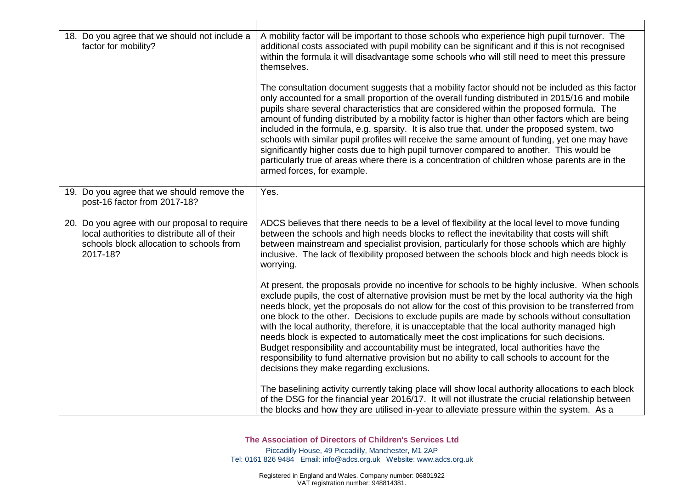| 18. Do you agree that we should not include a<br>factor for mobility?                                                                                 | A mobility factor will be important to those schools who experience high pupil turnover. The<br>additional costs associated with pupil mobility can be significant and if this is not recognised<br>within the formula it will disadvantage some schools who will still need to meet this pressure<br>themselves.                                                                                                                                                                                                                                                                                                                                                                                                                                                                                                                               |
|-------------------------------------------------------------------------------------------------------------------------------------------------------|-------------------------------------------------------------------------------------------------------------------------------------------------------------------------------------------------------------------------------------------------------------------------------------------------------------------------------------------------------------------------------------------------------------------------------------------------------------------------------------------------------------------------------------------------------------------------------------------------------------------------------------------------------------------------------------------------------------------------------------------------------------------------------------------------------------------------------------------------|
|                                                                                                                                                       | The consultation document suggests that a mobility factor should not be included as this factor<br>only accounted for a small proportion of the overall funding distributed in 2015/16 and mobile<br>pupils share several characteristics that are considered within the proposed formula. The<br>amount of funding distributed by a mobility factor is higher than other factors which are being<br>included in the formula, e.g. sparsity. It is also true that, under the proposed system, two<br>schools with similar pupil profiles will receive the same amount of funding, yet one may have<br>significantly higher costs due to high pupil turnover compared to another. This would be<br>particularly true of areas where there is a concentration of children whose parents are in the<br>armed forces, for example.                  |
| 19. Do you agree that we should remove the<br>post-16 factor from 2017-18?                                                                            | Yes.                                                                                                                                                                                                                                                                                                                                                                                                                                                                                                                                                                                                                                                                                                                                                                                                                                            |
| 20. Do you agree with our proposal to require<br>local authorities to distribute all of their<br>schools block allocation to schools from<br>2017-18? | ADCS believes that there needs to be a level of flexibility at the local level to move funding<br>between the schools and high needs blocks to reflect the inevitability that costs will shift<br>between mainstream and specialist provision, particularly for those schools which are highly<br>inclusive. The lack of flexibility proposed between the schools block and high needs block is<br>worrying.                                                                                                                                                                                                                                                                                                                                                                                                                                    |
|                                                                                                                                                       | At present, the proposals provide no incentive for schools to be highly inclusive. When schools<br>exclude pupils, the cost of alternative provision must be met by the local authority via the high<br>needs block, yet the proposals do not allow for the cost of this provision to be transferred from<br>one block to the other. Decisions to exclude pupils are made by schools without consultation<br>with the local authority, therefore, it is unacceptable that the local authority managed high<br>needs block is expected to automatically meet the cost implications for such decisions.<br>Budget responsibility and accountability must be integrated, local authorities have the<br>responsibility to fund alternative provision but no ability to call schools to account for the<br>decisions they make regarding exclusions. |
|                                                                                                                                                       | The baselining activity currently taking place will show local authority allocations to each block<br>of the DSG for the financial year 2016/17. It will not illustrate the crucial relationship between<br>the blocks and how they are utilised in-year to alleviate pressure within the system. As a                                                                                                                                                                                                                                                                                                                                                                                                                                                                                                                                          |

<u>г</u>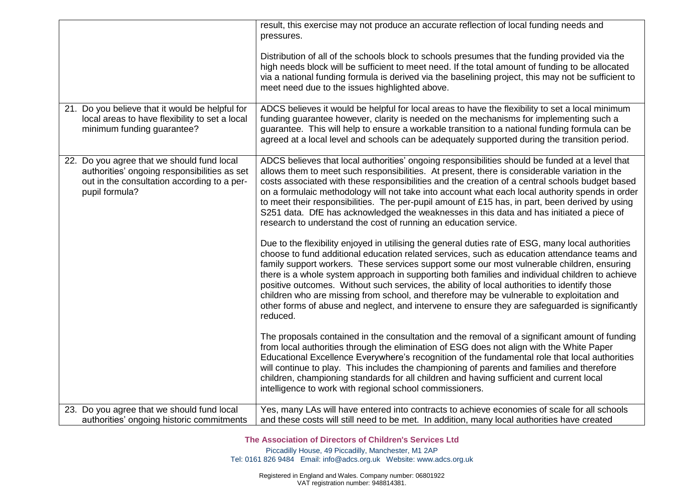|                                                                                                                                                             | result, this exercise may not produce an accurate reflection of local funding needs and<br>pressures.                                                                                                                                                                                                                                                                                                                                                                                                                                                                                                                                                                                                           |
|-------------------------------------------------------------------------------------------------------------------------------------------------------------|-----------------------------------------------------------------------------------------------------------------------------------------------------------------------------------------------------------------------------------------------------------------------------------------------------------------------------------------------------------------------------------------------------------------------------------------------------------------------------------------------------------------------------------------------------------------------------------------------------------------------------------------------------------------------------------------------------------------|
|                                                                                                                                                             | Distribution of all of the schools block to schools presumes that the funding provided via the<br>high needs block will be sufficient to meet need. If the total amount of funding to be allocated<br>via a national funding formula is derived via the baselining project, this may not be sufficient to<br>meet need due to the issues highlighted above.                                                                                                                                                                                                                                                                                                                                                     |
| 21. Do you believe that it would be helpful for<br>local areas to have flexibility to set a local<br>minimum funding guarantee?                             | ADCS believes it would be helpful for local areas to have the flexibility to set a local minimum<br>funding guarantee however, clarity is needed on the mechanisms for implementing such a<br>guarantee. This will help to ensure a workable transition to a national funding formula can be<br>agreed at a local level and schools can be adequately supported during the transition period.                                                                                                                                                                                                                                                                                                                   |
| 22. Do you agree that we should fund local<br>authorities' ongoing responsibilities as set<br>out in the consultation according to a per-<br>pupil formula? | ADCS believes that local authorities' ongoing responsibilities should be funded at a level that<br>allows them to meet such responsibilities. At present, there is considerable variation in the<br>costs associated with these responsibilities and the creation of a central schools budget based<br>on a formulaic methodology will not take into account what each local authority spends in order<br>to meet their responsibilities. The per-pupil amount of £15 has, in part, been derived by using<br>S251 data. DfE has acknowledged the weaknesses in this data and has initiated a piece of<br>research to understand the cost of running an education service.                                       |
|                                                                                                                                                             | Due to the flexibility enjoyed in utilising the general duties rate of ESG, many local authorities<br>choose to fund additional education related services, such as education attendance teams and<br>family support workers. These services support some our most vulnerable children, ensuring<br>there is a whole system approach in supporting both families and individual children to achieve<br>positive outcomes. Without such services, the ability of local authorities to identify those<br>children who are missing from school, and therefore may be vulnerable to exploitation and<br>other forms of abuse and neglect, and intervene to ensure they are safeguarded is significantly<br>reduced. |
|                                                                                                                                                             | The proposals contained in the consultation and the removal of a significant amount of funding<br>from local authorities through the elimination of ESG does not align with the White Paper<br>Educational Excellence Everywhere's recognition of the fundamental role that local authorities<br>will continue to play. This includes the championing of parents and families and therefore<br>children, championing standards for all children and having sufficient and current local<br>intelligence to work with regional school commissioners.                                                                                                                                                             |
| 23. Do you agree that we should fund local<br>authorities' ongoing historic commitments                                                                     | Yes, many LAs will have entered into contracts to achieve economies of scale for all schools<br>and these costs will still need to be met. In addition, many local authorities have created                                                                                                                                                                                                                                                                                                                                                                                                                                                                                                                     |

**The Association of Directors of Children**'**s Services Ltd**

Piccadilly House, 49 Piccadilly, Manchester, M1 2AP Tel: 0161 826 9484 Email: [info@adcs.org.uk](mailto:info@adcs.org.uk) Website: [www.adcs.org.uk](http://www.adcs.org.uk/)